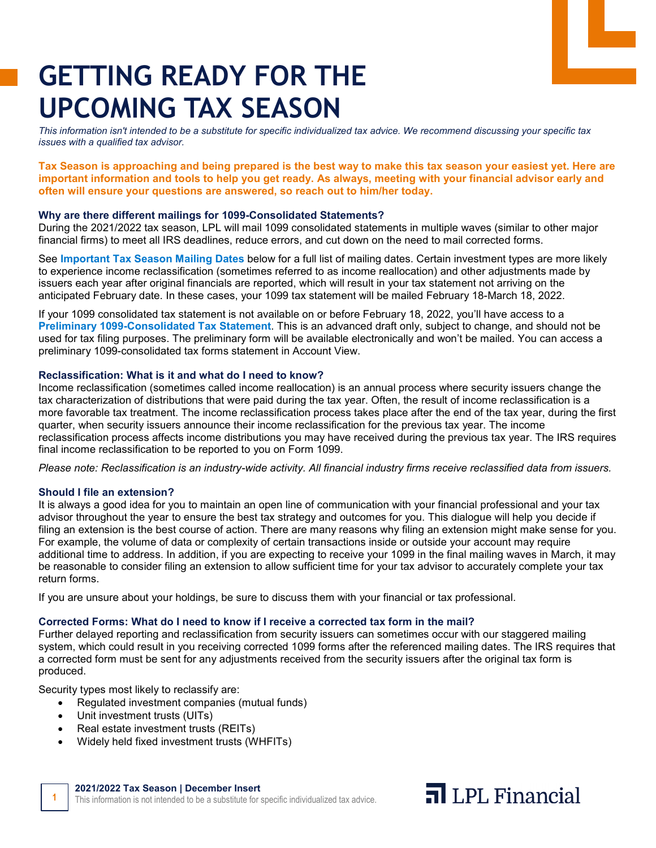# **GETTING READY FOR THE UPCOMING TAX SEASON**

*This information isn't intended to be a substitute for specific individualized tax advice. We recommend discussing your specific tax issues with a qualified tax advisor.*

**Tax Season is approaching and being prepared is the best way to make this tax season your easiest yet. Here are important information and tools to help you get ready. As always, meeting with your financial advisor early and often will ensure your questions are answered, so reach out to him/her today.** 

### **Why are there different mailings for 1099-Consolidated Statements?**

During the 2021/2022 tax season, LPL will mail 1099 consolidated statements in multiple waves (similar to other major financial firms) to meet all IRS deadlines, reduce errors, and cut down on the need to mail corrected forms.

See **Important Tax Season Mailing Dates** below for a full list of mailing dates. Certain investment types are more likely to experience income reclassification (sometimes referred to as income reallocation) and other adjustments made by issuers each year after original financials are reported, which will result in your tax statement not arriving on the anticipated February date. In these cases, your 1099 tax statement will be mailed February 18-March 18, 2022.

If your 1099 consolidated tax statement is not available on or before February 18, 2022, you'll have access to a **Preliminary 1099-Consolidated Tax Statement**. This is an advanced draft only, subject to change, and should not be used for tax filing purposes. The preliminary form will be available electronically and won't be mailed. You can access a preliminary 1099-consolidated tax forms statement in Account View.

### **Reclassification: What is it and what do I need to know?**

Income reclassification (sometimes called income reallocation) is an annual process where security issuers change the tax characterization of distributions that were paid during the tax year. Often, the result of income reclassification is a more favorable tax treatment. The income reclassification process takes place after the end of the tax year, during the first quarter, when security issuers announce their income reclassification for the previous tax year. The income reclassification process affects income distributions you may have received during the previous tax year. The IRS requires final income reclassification to be reported to you on Form 1099.

*Please note: Reclassification is an industry-wide activity. All financial industry firms receive reclassified data from issuers.*

### **Should I file an extension?**

It is always a good idea for you to maintain an open line of communication with your financial professional and your tax advisor throughout the year to ensure the best tax strategy and outcomes for you. This dialogue will help you decide if filing an extension is the best course of action. There are many reasons why filing an extension might make sense for you. For example, the volume of data or complexity of certain transactions inside or outside your account may require additional time to address. In addition, if you are expecting to receive your 1099 in the final mailing waves in March, it may be reasonable to consider filing an extension to allow sufficient time for your tax advisor to accurately complete your tax return forms.

If you are unsure about your holdings, be sure to discuss them with your financial or tax professional.

### **Corrected Forms: What do I need to know if I receive a corrected tax form in the mail?**

Further delayed reporting and reclassification from security issuers can sometimes occur with our staggered mailing system, which could result in you receiving corrected 1099 forms after the referenced mailing dates. The IRS requires that a corrected form must be sent for any adjustments received from the security issuers after the original tax form is produced.

Security types most likely to reclassify are:

- Regulated investment companies (mutual funds)
- Unit investment trusts (UITs)
- Real estate investment trusts (REITs)
- Widely held fixed investment trusts (WHFITs)